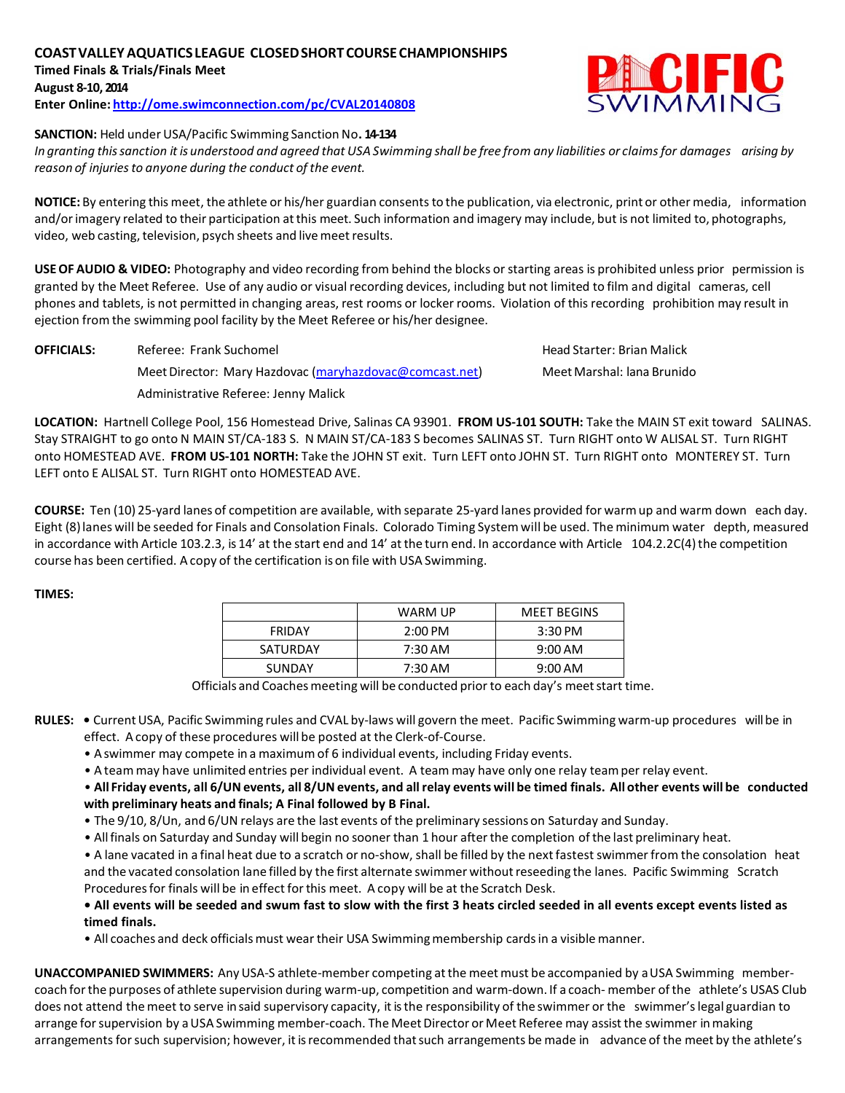# **COASTVALLEYAQUATICSLEAGUE CLOSEDSHORTCOURSECHAMPIONSHIPS Timed Finals & Trials/Finals Meet**

**August 8-10, 2014**

**Enter Online: <http://ome.swimconnection.com/pc/CVAL20140808>**



## **SANCTION: Held under USA/Pacific Swimming Sanction No. 14-134**

In granting this sanction it is understood and agreed that USA Swimming shall be free from any liabilities or claims for damages arising by *reason of injuriesto anyone during the conduct of the event.*

**NOTICE:** By entering this meet, the athlete or his/her guardian consentsto the publication, via electronic, print or other media, information and/orimagery related to their participation atthis meet. Such information and imagery may include, but is not limited to, photographs, video, web casting, television, psych sheets and live meet results.

**USE OF AUDIO & VIDEO:** Photography and video recording from behind the blocks or starting areas is prohibited unless prior permission is granted by the Meet Referee. Use of any audio or visual recording devices, including but not limited to film and digital cameras, cell phones and tablets, is not permitted in changing areas, rest rooms or locker rooms. Violation of this recording prohibition may result in ejection from the swimming pool facility by the Meet Referee or his/her designee.

**OFFICIALS:** Referee: Frank Suchomel **Head Starter: Brian Malick** Head Starter: Brian Malick Meet Director: Mary Hazdovac [\(maryhazdovac@comcast.net\)](mailto:maryhazdovac@comcast.net) Meet Marshal: lana Brunido Administrative Referee: Jenny Malick

**LOCATION:** Hartnell College Pool, 156 Homestead Drive, Salinas CA 93901. **FROM US-101 SOUTH:** Take the MAIN ST exit toward SALINAS. Stay STRAIGHT to go onto N MAIN ST/CA-183 S. N MAIN ST/CA-183 S becomes SALINAS ST. Turn RIGHT onto W ALISAL ST. Turn RIGHT onto HOMESTEAD AVE. **FROM US-101 NORTH:** Take the JOHN ST exit. Turn LEFT onto JOHN ST. Turn RIGHT onto MONTEREY ST. Turn LEFT onto E ALISAL ST. Turn RIGHT onto HOMESTEAD AVE.

**COURSE:** Ten (10) 25-yard lanes of competition are available, with separate 25-yard lanes provided for warmup and warm down each day. Eight (8)lanes will be seeded for Finals and Consolation Finals. Colorado Timing Systemwill be used. The minimum water depth, measured in accordance with Article 103.2.3, is 14' at the start end and 14' at the turn end. In accordance with Article 104.2.2C(4) the competition course has been certified. A copy of the certification is on file with USA Swimming.

## **TIMES:**

| WARM UP           | <b>MEET BEGINS</b> |
|-------------------|--------------------|
| $2:00 \text{ PM}$ | $3:30$ PM          |
| 7:30 AM           | $9:00 \text{ AM}$  |
| 7:30 AM           | $9:00 \text{ AM}$  |
|                   |                    |

Officials and Coaches meeting will be conducted prior to each day's meet start time.

- **RULES: •** CurrentUSA, Pacific Swimming rules and CVAL by-laws will govern the meet. Pacific Swimming warm-up procedures will be in effect. A copy of these procedures will be posted at the Clerk-of-Course.
	- Aswimmer may compete in a maximum of 6 individual events, including Friday events.
	- Ateammay have unlimited entries per individual event. A team may have only one relay teamper relay event.

. All Friday events, all 6/UN events, all 8/UN events, and all relay events will be timed finals. All other events will be conducted **with preliminary heats and finals; A Final followed by B Final.**

- The 9/10, 8/Un, and 6/UN relays are the last events of the preliminary sessions on Saturday and Sunday.
- Allfinals on Saturday and Sunday will begin no sooner than 1 hour afterthe completion ofthe last preliminary heat.

• A lane vacated in a final heat due to a scratch or no-show, shall be filled by the next fastest swimmer from the consolation heat and the vacated consolation lane filled by the first alternate swimmer without reseeding the lanes. Pacific Swimming Scratch Procedures for finals will be in effect for this meet. A copy will be at the Scratch Desk.

**• All events will be seeded and swum fast to slow with the first 3 heats circled seeded in all events except events listed as timed finals.**

• All coaches and deck officials must wear their USA Swimming membership cards in a visible manner.

**UNACCOMPANIED SWIMMERS:** Any USA-S athlete-member competing atthe meet must be accompanied by aUSA Swimming membercoach forthe purposes of athlete supervision during warm-up, competition and warm-down. If a coach- member ofthe athlete's USAS Club does not attend themeet to serve in said supervisory capacity, it isthe responsibility of the swimmer or the swimmer'slegal guardian to arrange for supervision by a USA Swimming member-coach. The Meet Director or Meet Referee may assist the swimmer in making arrangements for such supervision; however, it is recommended that such arrangements be made in advance of the meet by the athlete's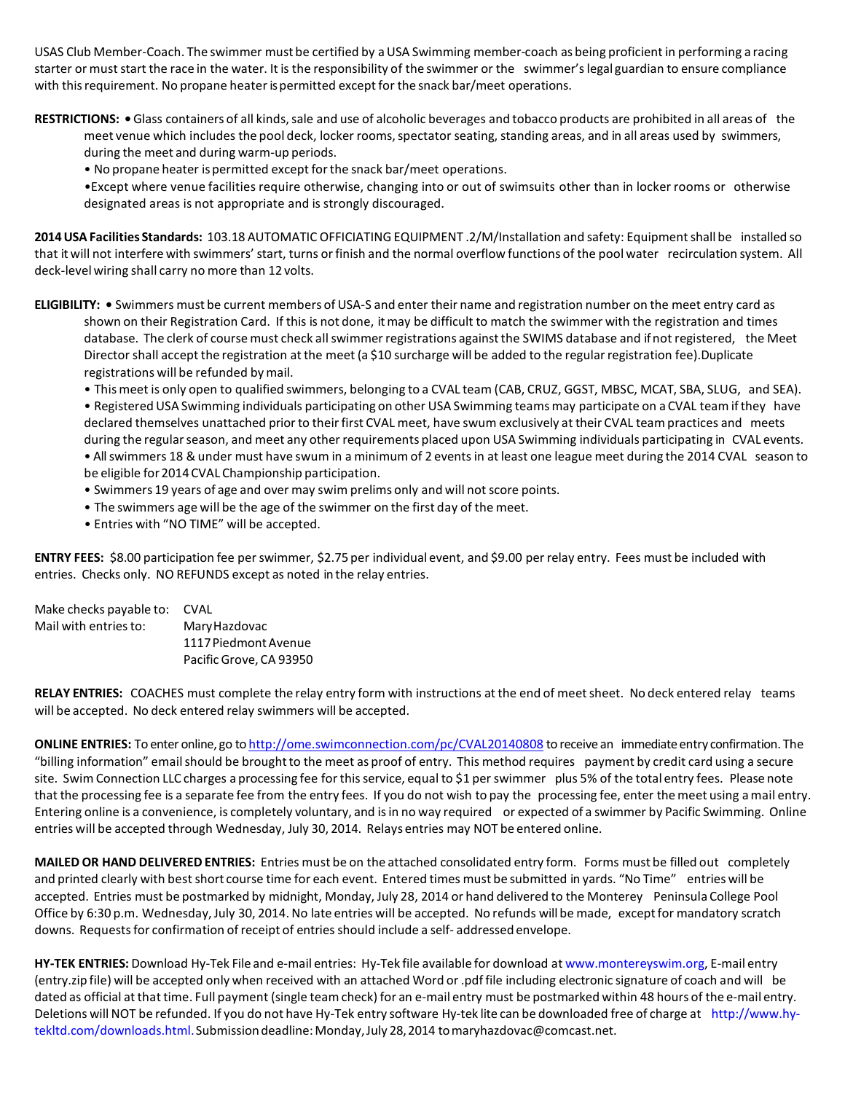USAS Club Member-Coach. The swimmer must be certified by aUSA Swimming member-coach as being proficient in performing a racing starter or must start the race in the water. It is the responsibility of the swimmer or the swimmer's legal guardian to ensure compliance with this requirement. No propane heater is permitted except for the snack bar/meet operations.

RESTRICTIONS: • Glass containers of all kinds, sale and use of alcoholic beverages and tobacco products are prohibited in all areas of the meet venue which includes the pool deck, locker rooms, spectator seating, standing areas, and in all areas used by swimmers, during the meet and during warm-up periods.

• No propane heater ispermitted except forthe snack bar/meet operations.

•Except where venue facilities require otherwise, changing into or out of swimsuits other than in locker rooms or otherwise designated areas is not appropriate and is strongly discouraged.

**2014USA Facilities Standards:** 103.18 AUTOMATIC OFFICIATINGEQUIPMENT .2/M/Installation and safety: Equipmentshall be installed so that it will not interfere with swimmers' start, turns orfinish and the normal overflow functions of the pool water recirculation system. All deck-level wiring shall carry no more than 12 volts.

**ELIGIBILITY: •** Swimmers must be current members of USA-S and enter their name and registration number on the meet entry card as shown on their Registration Card. If this is not done, itmay be difficult to match the swimmer with the registration and times database. The clerk of course must check all swimmer registrations against the SWIMS database and if not registered, the Meet Director shall accept the registration at the meet (a \$10 surcharge will be added to the regular registration fee).Duplicate registrations will be refunded by mail.

• Thismeet is only open to qualified swimmers, belonging to a CVAL team (CAB, CRUZ, GGST, MBSC, MCAT, SBA, SLUG, and SEA).

• Registered USA Swimming individuals participating on other USA Swimming teamsmay participate on a CVAL team ifthey have declared themselves unattached prior to their first CVAL meet, have swum exclusively at their CVAL team practices and meets during the regular season, and meet any other requirements placed upon USA Swimming individuals participating in CVAL events. • All swimmers 18 & under must have swum in a minimum of 2 events in at least one league meet during the 2014 CVAL season to be eligible for 2014 CVAL Championship participation.

- Swimmers 19 years of age and over may swim prelims only and will not score points.
- The swimmers age will be the age of the swimmer on the first day of the meet.
- Entries with "NO TIME" will be accepted.

**ENTRY FEES:** \$8.00 participation fee perswimmer, \$2.75 per individual event, and \$9.00 perrelay entry. Fees must be included with entries. Checks only. NO REFUNDS except as noted in the relay entries.

| Make checks payable to: | <b>CVAL</b>             |
|-------------------------|-------------------------|
| Mail with entries to:   | Mary Hazdovac           |
|                         | 1117 Piedmont Avenue    |
|                         | Pacific Grove, CA 93950 |

**RELAY ENTRIES:** COACHES must complete the relay entry form with instructions at the end of meetsheet. No deck entered relay teams will be accepted. No deck entered relay swimmers will be accepted.

**ONLINE ENTRIES:** To enter online, go to <http://ome.swimconnection.com/pc/CVAL20140808> to receive an immediate entry confirmation. The "billing information" emailshould be broughtto the meet as proof of entry. This method requires payment by credit card using a secure site. Swim Connection LLC charges a processing fee for this service, equal to \$1 per swimmer plus 5% of the total entry fees. Please note that the processing fee is a separate fee from the entry fees. If you do not wish to pay the processing fee, enter themeet using amail entry. Entering online is a convenience, is completely voluntary, and isin no way required or expected of a swimmer by Pacific Swimming. Online entries will be accepted through Wednesday, July 30, 2014. Relays entries may NOT be entered online.

**MAILEDOR HAND DELIVERED ENTRIES:** Entries must be on the attached consolidated entry form. Forms must be filled out completely and printed clearly with best short course time for each event. Entered times must be submitted in yards. "No Time" entries will be accepted. Entries must be postmarked by midnight, Monday, July 28, 2014 or hand delivered to the Monterey Peninsula College Pool Office by 6:30 p.m. Wednesday, July 30, 2014.No late entries will be accepted. No refunds will be made, exceptfor mandatory scratch downs. Requestsfor confirmation ofreceipt of entries should include a self- addressed envelope.

**HY-TEK ENTRIES:** Download Hy-Tek File and e-mail entries: Hy-Tek file available for download at [www.montereyswim.org,](http://www.montereyswim.org/) E-mail entry (entry.zip file) will be accepted only when received with an attached Word or.pdf file including electronic signature of coach and will be dated as official at that time. Full payment (single teamcheck) for an e-mail entry must be postmarked within 48 hours of the e-mail entry. Deletions will NOT be refunded. If you do not have Hy-Tek entry software Hy-tek lite can be downloaded free of charge at [http://www.hy](http://www.hy-tekltd.com/downloads.html)[tekltd.com/downloads.html.S](http://www.hy-tekltd.com/downloads.html)ubmission deadline: Monday, July 28, 2014 to maryhazdovac@comcast.net.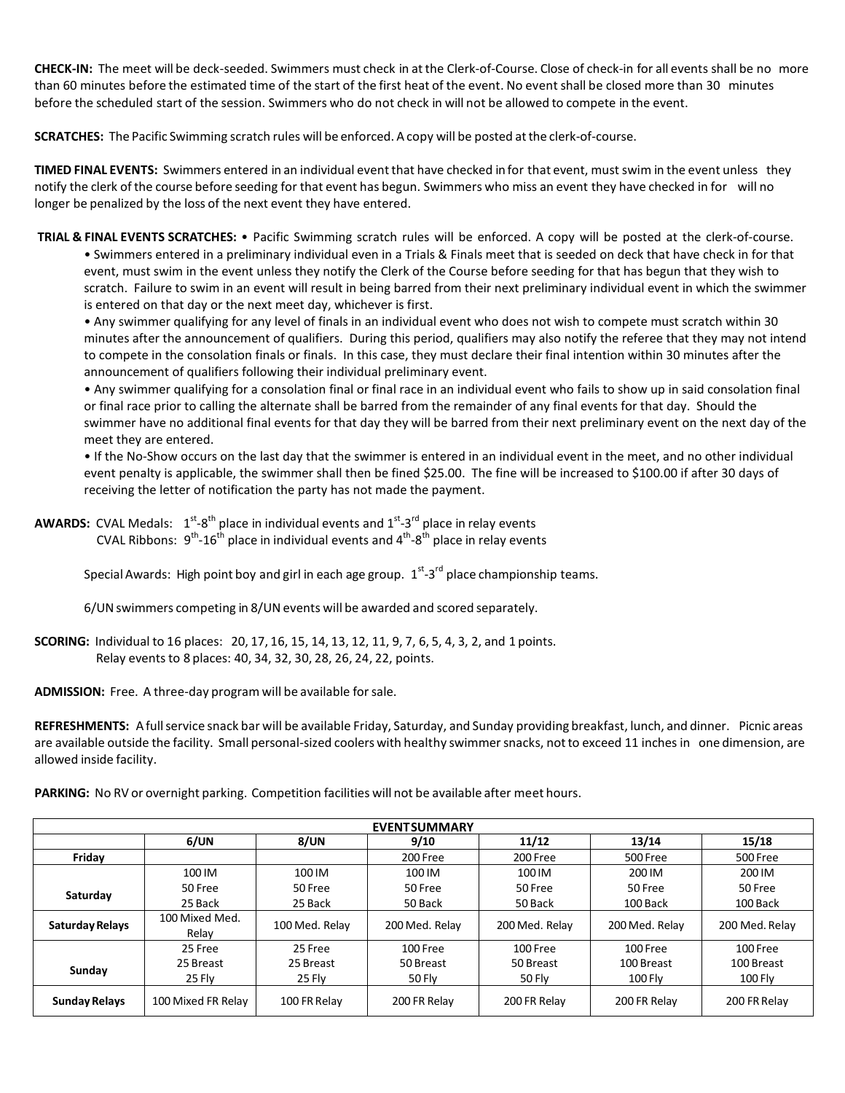**CHECK-IN:** The meet will be deck-seeded. Swimmers must check in at the Clerk-of-Course. Close of check-in for all events shall be no more than 60 minutes before the estimated time of the start of the first heat of the event. No eventshall be closed more than 30 minutes before the scheduled start of the session. Swimmers who do not check in will not be allowed to compete in the event.

**SCRATCHES:** The Pacific Swimming scratch rules will be enforced. A copy will be posted at the clerk-of-course.

**TIMED FINAL EVENTS:** Swimmers entered in an individual event that have checked in for that event, must swim in the event unless they notify the clerk ofthe course before seeding for that event has begun. Swimmers who miss an event they have checked in for will no longer be penalized by the loss of the next event they have entered.

**TRIAL & FINAL EVENTS SCRATCHES:** • Pacific Swimming scratch rules will be enforced. A copy will be posted at the clerk-of-course.

• Swimmers entered in a preliminary individual even in a Trials & Finals meet that is seeded on deck that have check in for that event, must swim in the event unless they notify the Clerk of the Course before seeding for that has begun that they wish to scratch. Failure to swim in an event will result in being barred from their next preliminary individual event in which the swimmer is entered on that day or the next meet day, whichever is first.

• Any swimmer qualifying for any level of finals in an individual event who does not wish to compete must scratch within 30 minutes after the announcement of qualifiers. During this period, qualifiers may also notify the referee that they may not intend to compete in the consolation finals or finals. In this case, they must declare their final intention within 30 minutes after the announcement of qualifiers following their individual preliminary event.

• Any swimmer qualifying for a consolation final or final race in an individual event who fails to show up in said consolation final or final race prior to calling the alternate shall be barred from the remainder of any final events for that day. Should the swimmer have no additional final events for that day they will be barred from their next preliminary event on the next day of the meet they are entered.

• If the No-Show occurs on the last day that the swimmer is entered in an individual event in the meet, and no other individual event penalty is applicable, the swimmer shall then be fined \$25.00. The fine will be increased to \$100.00 if after 30 days of receiving the letter of notification the party has not made the payment.

**AWARDS:** CVAL Medals:  $1^{st}$ -8<sup>th</sup> place in individual events and  $1^{st}$ -3<sup>rd</sup> place in relay events CVAL Ribbons:  $9^{th}$ -16<sup>th</sup> place in individual events and  $4^{th}$ -8<sup>th</sup> place in relay events

Special Awards: High point boy and girl in each age group.  $1^{st}$ -3<sup>rd</sup> place championship teams.

6/UN swimmers competing in 8/UN events will be awarded and scored separately.

**SCORING:** Individual to 16 places: 20, 17, 16, 15, 14, 13, 12, 11, 9, 7, 6, 5, 4, 3, 2, and 1 points. Relay events to 8 places: 40, 34, 32, 30, 28, 26, 24, 22, points.

**ADMISSION:** Free. A three-day program will be available forsale.

**REFRESHMENTS:** Afullservice snack bar will be available Friday, Saturday, and Sunday providing breakfast, lunch, and dinner. Picnic areas are available outside the facility. Small personal-sized coolers with healthy swimmer snacks, not to exceed 11 inches in one dimension, are allowed inside facility.

**PARKING:** No RV or overnight parking. Competition facilities will not be available after meet hours.

| <b>EVENTSUMMARY</b>  |                    |                |                |                |                |                |  |  |
|----------------------|--------------------|----------------|----------------|----------------|----------------|----------------|--|--|
|                      | 6/UN               | 8/UN           | 9/10           | 11/12          | 13/14          | 15/18          |  |  |
| Friday               |                    |                | 200 Free       | 200 Free       | 500 Free       | 500 Free       |  |  |
|                      | 100 IM             | 100 IM         | 100 IM         | 100 IM         | 200 IM         | 200 IM         |  |  |
| Saturday             | 50 Free            | 50 Free        | 50 Free        | 50 Free        | 50 Free        | 50 Free        |  |  |
|                      | 25 Back            | 25 Back        | 50 Back        | 50 Back        | 100 Back       | 100 Back       |  |  |
| Saturday Relays      | 100 Mixed Med.     | 100 Med. Relay | 200 Med. Relay | 200 Med. Relay | 200 Med. Relay | 200 Med. Relay |  |  |
|                      | Relav              |                |                |                |                |                |  |  |
|                      | 25 Free            | 25 Free        | 100 Free       | 100 Free       | 100 Free       | 100 Free       |  |  |
| Sunday               | 25 Breast          | 25 Breast      | 50 Breast      | 50 Breast      | 100 Breast     | 100 Breast     |  |  |
|                      | 25 Flv             | 25 Flv         | 50 Flv         | 50 Flv         | <b>100 Flv</b> | 100 Flv        |  |  |
| <b>Sunday Relays</b> | 100 Mixed FR Relay | 100 FR Relay   | 200 FR Relay   | 200 FR Relay   | 200 FR Relay   | 200 FR Relay   |  |  |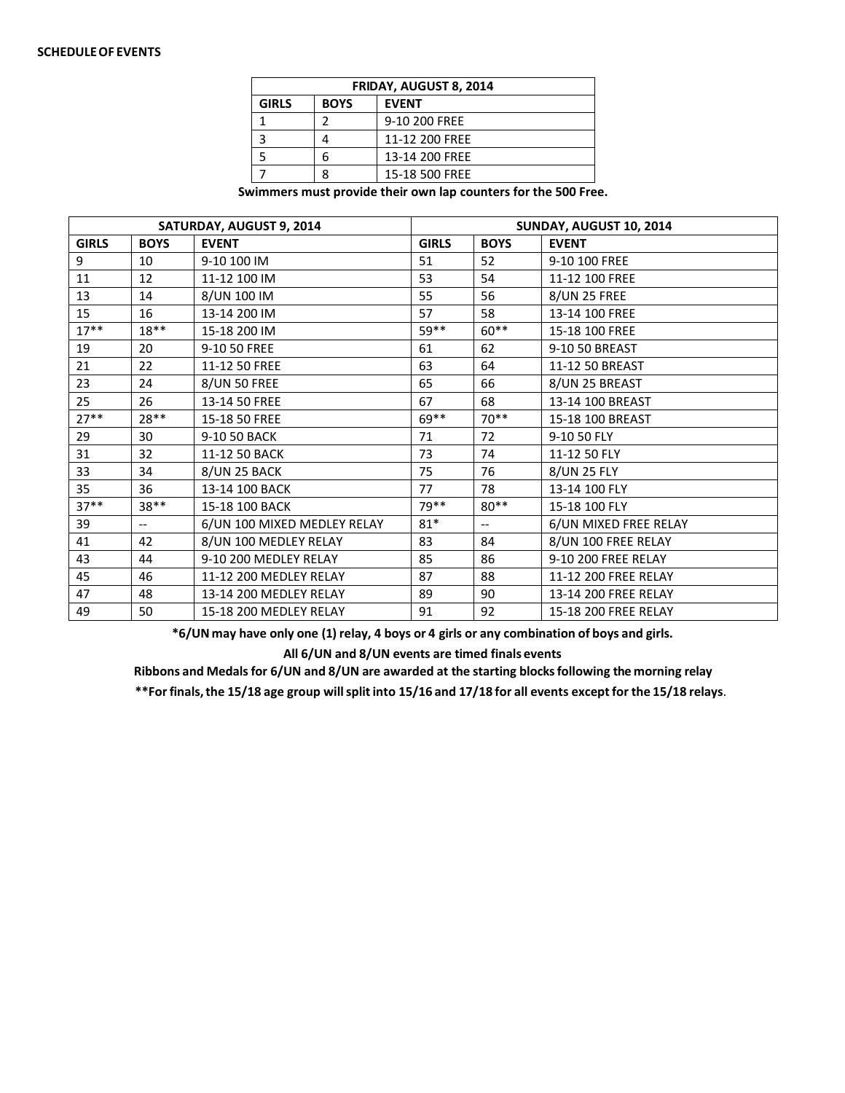#### **SCHEDULEOF EVENTS**

| <b>FRIDAY, AUGUST 8, 2014</b>               |   |                |  |  |  |  |
|---------------------------------------------|---|----------------|--|--|--|--|
| <b>GIRLS</b><br><b>BOYS</b><br><b>EVENT</b> |   |                |  |  |  |  |
|                                             |   | 9-10 200 FREE  |  |  |  |  |
|                                             |   | 11-12 200 FREE |  |  |  |  |
|                                             | h | 13-14 200 FREE |  |  |  |  |
|                                             |   | 15-18 500 FREE |  |  |  |  |

**Swimmers must provide their own lap counters for the 500 Free.**

|              |             | SATURDAY, AUGUST 9, 2014    |              |             | SUNDAY, AUGUST 10, 2014 |
|--------------|-------------|-----------------------------|--------------|-------------|-------------------------|
| <b>GIRLS</b> | <b>BOYS</b> | <b>EVENT</b>                | <b>GIRLS</b> | <b>BOYS</b> | <b>EVENT</b>            |
| 9            | 10          | 9-10 100 IM                 | 51           | 52          | 9-10 100 FREE           |
| 11           | 12          | 11-12 100 IM                | 53           | 54          | 11-12 100 FREE          |
| 13           | 14          | 8/UN 100 IM                 | 55           | 56          | <b>8/UN 25 FREE</b>     |
| 15           | 16          | 13-14 200 IM                | 57           | 58          | 13-14 100 FREE          |
| $17***$      | $18**$      | 15-18 200 IM                | 59**         | $60**$      | 15-18 100 FREE          |
| 19           | 20          | 9-10 50 FREE                | 61           | 62          | 9-10 50 BREAST          |
| 21           | 22          | 11-12 50 FREE               | 63           | 64          | 11-12 50 BREAST         |
| 23           | 24          | <b>8/UN 50 FREE</b>         | 65           | 66          | 8/UN 25 BREAST          |
| 25           | 26          | 13-14 50 FREE               | 67           | 68          | 13-14 100 BREAST        |
| $27**$       | 28**        | 15-18 50 FREE               | 69**         | $70**$      | 15-18 100 BREAST        |
| 29           | 30          | 9-10 50 BACK                | 71           | 72          | 9-10 50 FLY             |
| 31           | 32          | 11-12 50 BACK               | 73           | 74          | 11-12 50 FLY            |
| 33           | 34          | 8/UN 25 BACK                | 75           | 76          | 8/UN 25 FLY             |
| 35           | 36          | 13-14 100 BACK              | 77           | 78          | 13-14 100 FLY           |
| $37**$       | $38**$      | 15-18 100 BACK              | 79 **        | $80**$      | 15-18 100 FLY           |
| 39           | $- -$       | 6/UN 100 MIXED MEDLEY RELAY | $81*$        | $-$         | 6/UN MIXED FREE RELAY   |
| 41           | 42          | 8/UN 100 MEDLEY RELAY       | 83           | 84          | 8/UN 100 FREE RELAY     |
| 43           | 44          | 9-10 200 MEDLEY RELAY       | 85           | 86          | 9-10 200 FREE RELAY     |
| 45           | 46          | 11-12 200 MEDLEY RELAY      | 87           | 88          | 11-12 200 FREE RELAY    |
| 47           | 48          | 13-14 200 MEDLEY RELAY      | 89           | 90          | 13-14 200 FREE RELAY    |
| 49           | 50          | 15-18 200 MEDLEY RELAY      | 91           | 92          | 15-18 200 FREE RELAY    |

**\*6/UN may have only one (1) relay, 4 boys or 4 girls or any combination of boys and girls.**

**All 6/UN and 8/UN events are timed finals events**

**Ribbons and Medalsfor 6/UN and 8/UN are awarded at the starting blocksfollowing the morning relay**

**\*\*Forfinals,the 15/18 age group willsplitinto 15/16 and 17/18 for all events exceptfor the 15/18 relays**.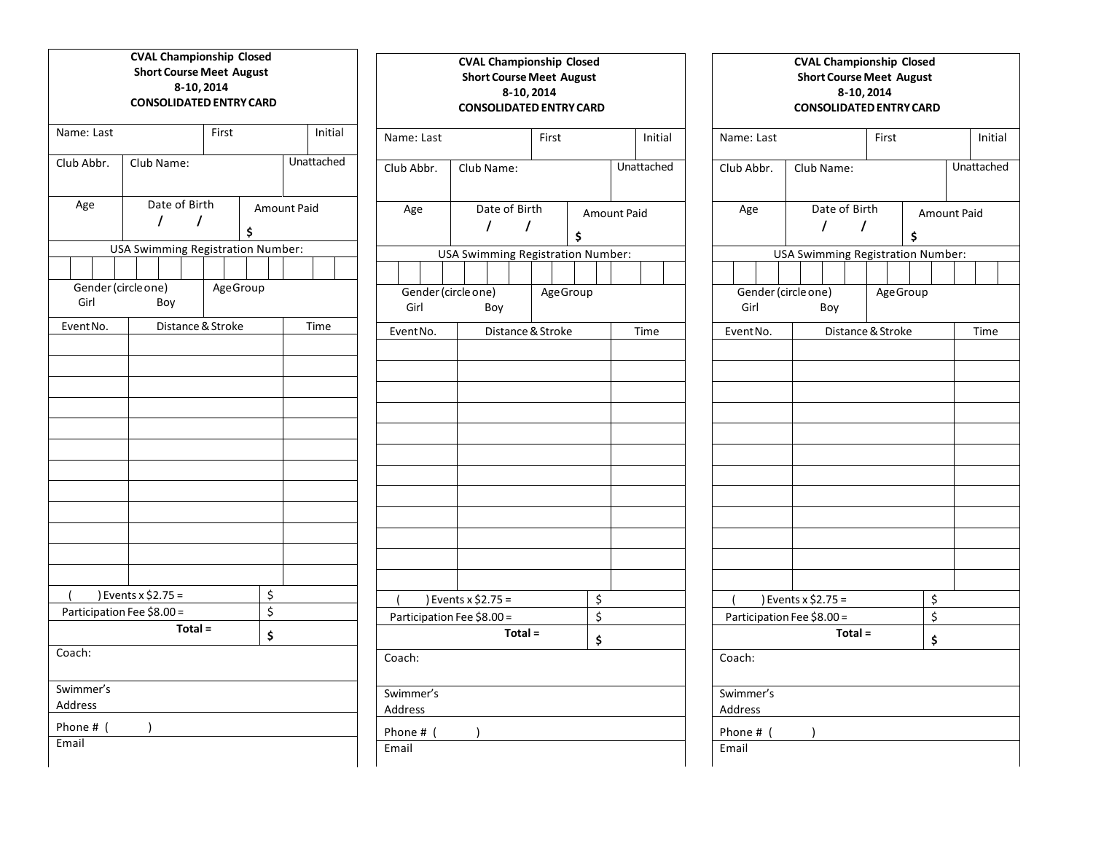|                             | <b>CVAL Championship Closed</b><br><b>Short Course Meet August</b><br>8-10, 2014<br><b>CONSOLIDATED ENTRY CARD</b> |          |    |             |            |                |
|-----------------------------|--------------------------------------------------------------------------------------------------------------------|----------|----|-------------|------------|----------------|
| Name: Last                  |                                                                                                                    | First    |    |             | Initial    | Name: La       |
| Club Abbr.                  | Club Name:                                                                                                         |          |    |             | Unattached | Club Abb       |
| Age                         | Date of Birth<br>$\prime$<br>I                                                                                     |          | \$ | Amount Paid |            | Age            |
|                             | <b>USA Swimming Registration Number:</b>                                                                           |          |    |             |            |                |
|                             |                                                                                                                    |          |    |             |            |                |
| Gender (circle one)<br>Girl | Boy                                                                                                                | AgeGroup |    |             |            | Gend<br>Girl   |
| Event No.                   | Distance & Stroke                                                                                                  |          |    |             | Time       | <b>Event N</b> |
|                             |                                                                                                                    |          |    |             |            |                |
|                             |                                                                                                                    |          |    |             |            |                |
|                             |                                                                                                                    |          |    |             |            |                |
|                             |                                                                                                                    |          |    |             |            |                |
|                             |                                                                                                                    |          |    |             |            |                |
|                             |                                                                                                                    |          |    |             |            |                |
|                             |                                                                                                                    |          |    |             |            |                |
|                             |                                                                                                                    |          |    |             |            |                |
|                             |                                                                                                                    |          |    |             |            |                |
|                             |                                                                                                                    |          |    |             |            |                |
|                             |                                                                                                                    |          |    |             |            |                |
|                             |                                                                                                                    |          |    |             |            |                |
|                             |                                                                                                                    |          |    |             |            |                |
|                             |                                                                                                                    |          |    |             |            |                |
|                             | ) Events x \$2.75 =                                                                                                |          | \$ |             |            |                |
|                             | Participation Fee \$8.00 =<br>Total =                                                                              |          | \$ |             |            | Particip       |
|                             |                                                                                                                    |          | \$ |             |            |                |
| Coach:                      |                                                                                                                    |          |    |             |            | Coach:         |
| Swimmer's                   |                                                                                                                    |          |    |             |            | Swimmer        |
| Address                     |                                                                                                                    |          |    |             |            | Address        |
| Phone # (                   | 1                                                                                                                  |          |    |             |            | Phone #        |
| Email                       |                                                                                                                    |          |    |             |            | Email          |
|                             |                                                                                                                    |          |    |             |            |                |

|                             | <b>CVAL Championship Closed</b><br><b>Short Course Meet August</b><br>8-10, 2014<br><b>CONSOLIDATED ENTRY CARD</b> |            |                          |  |         |  |
|-----------------------------|--------------------------------------------------------------------------------------------------------------------|------------|--------------------------|--|---------|--|
| Name: Last                  |                                                                                                                    | First      |                          |  | Initial |  |
| Club Abbr.                  | Club Name:                                                                                                         | Unattached |                          |  |         |  |
| Age                         | Date of Birth<br>I<br>7                                                                                            |            | <b>Amount Paid</b><br>\$ |  |         |  |
|                             | <b>USA Swimming Registration Number:</b>                                                                           |            |                          |  |         |  |
|                             |                                                                                                                    |            |                          |  |         |  |
| Gender (circle one)<br>Girl | Boy                                                                                                                | AgeGroup   |                          |  |         |  |
| Event No.                   | Distance & Stroke                                                                                                  |            |                          |  | Time    |  |
|                             |                                                                                                                    |            |                          |  |         |  |
|                             |                                                                                                                    |            |                          |  |         |  |
|                             |                                                                                                                    |            |                          |  |         |  |
|                             |                                                                                                                    |            |                          |  |         |  |
|                             |                                                                                                                    |            |                          |  |         |  |
|                             |                                                                                                                    |            |                          |  |         |  |
|                             |                                                                                                                    |            |                          |  |         |  |
|                             |                                                                                                                    |            |                          |  |         |  |
|                             |                                                                                                                    |            |                          |  |         |  |
|                             |                                                                                                                    |            |                          |  |         |  |
|                             |                                                                                                                    |            |                          |  |         |  |
|                             |                                                                                                                    |            |                          |  |         |  |
|                             |                                                                                                                    |            |                          |  |         |  |
|                             |                                                                                                                    |            |                          |  |         |  |
|                             | ) Events x \$2.75 =                                                                                                |            | \$                       |  |         |  |
|                             | Participation Fee \$8.00 =                                                                                         |            | \$                       |  |         |  |
|                             | Total =                                                                                                            |            | \$                       |  |         |  |
| Coach:                      |                                                                                                                    |            |                          |  |         |  |
| Swimmer's<br>Address        |                                                                                                                    |            |                          |  |         |  |
| Phone # (                   | )                                                                                                                  |            |                          |  |         |  |
| Fmail                       |                                                                                                                    |            |                          |  |         |  |

| Name: Last                  |                                          | First             |    |  | Initial            |  |
|-----------------------------|------------------------------------------|-------------------|----|--|--------------------|--|
| Club Abbr.                  | Club Name:                               |                   |    |  | Unattached         |  |
| Age                         | Date of Birth                            |                   |    |  | <b>Amount Paid</b> |  |
|                             | $\overline{I}$                           | $\prime$          | \$ |  |                    |  |
|                             | <b>USA Swimming Registration Number:</b> |                   |    |  |                    |  |
|                             |                                          |                   |    |  |                    |  |
| Gender (circle one)<br>Girl | Boy                                      | <b>Age Group</b>  |    |  |                    |  |
| Event No.                   |                                          | Distance & Stroke |    |  | Time               |  |
|                             |                                          |                   |    |  |                    |  |
|                             |                                          |                   |    |  |                    |  |
|                             |                                          |                   |    |  |                    |  |
|                             |                                          |                   |    |  |                    |  |
|                             |                                          |                   |    |  |                    |  |
|                             |                                          |                   |    |  |                    |  |
|                             |                                          |                   |    |  |                    |  |
|                             |                                          |                   |    |  |                    |  |
|                             |                                          |                   |    |  |                    |  |
|                             |                                          |                   |    |  |                    |  |
|                             |                                          |                   |    |  |                    |  |
|                             |                                          |                   |    |  |                    |  |
| $\overline{ }$              | ) Events x \$2.75 =                      |                   | \$ |  |                    |  |
|                             | Participation Fee \$8.00 =               |                   | \$ |  |                    |  |
| Total =<br>\$               |                                          |                   |    |  |                    |  |
| Coach:                      |                                          |                   |    |  |                    |  |
|                             |                                          |                   |    |  |                    |  |
| Swimmer's                   |                                          |                   |    |  |                    |  |
| Address                     |                                          |                   |    |  |                    |  |